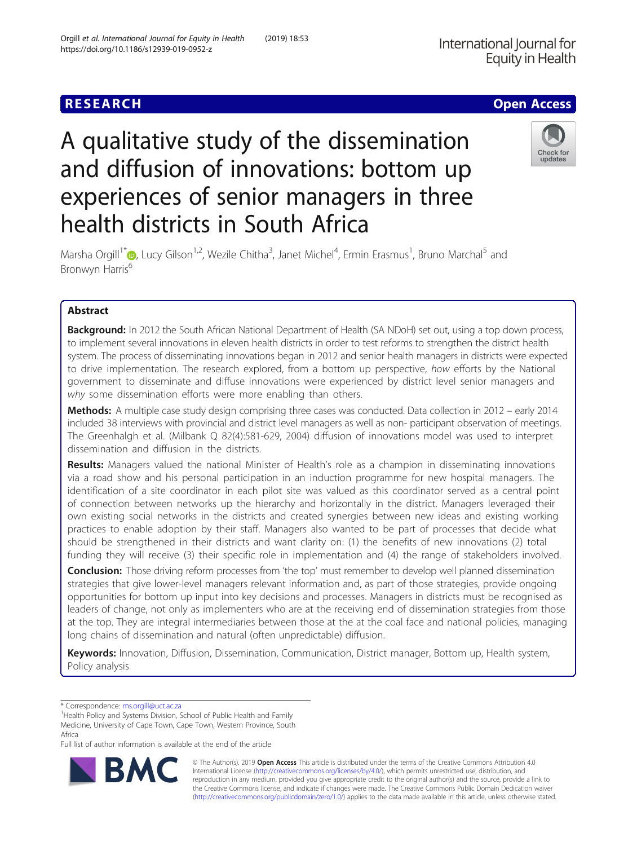# **RESEARCH CHE Open Access**

# A qualitative study of the dissemination and diffusion of innovations: bottom up experiences of senior managers in three health districts in South Africa



Marsha Orgill<sup>1\*</sup> (D, Lucy Gilson<sup>1,2</sup>, Wezile Chitha<sup>3</sup>, Janet Michel<sup>4</sup>, Ermin Erasmus<sup>1</sup>, Bruno Marchal<sup>5</sup> and Bronwyn Harris<sup>6</sup>

## Abstract

Background: In 2012 the South African National Department of Health (SA NDoH) set out, using a top down process, to implement several innovations in eleven health districts in order to test reforms to strengthen the district health system. The process of disseminating innovations began in 2012 and senior health managers in districts were expected to drive implementation. The research explored, from a bottom up perspective, how efforts by the National government to disseminate and diffuse innovations were experienced by district level senior managers and why some dissemination efforts were more enabling than others.

Methods: A multiple case study design comprising three cases was conducted. Data collection in 2012 – early 2014 included 38 interviews with provincial and district level managers as well as non- participant observation of meetings. The Greenhalgh et al. (Milbank Q 82(4):581-629, 2004) diffusion of innovations model was used to interpret dissemination and diffusion in the districts.

Results: Managers valued the national Minister of Health's role as a champion in disseminating innovations via a road show and his personal participation in an induction programme for new hospital managers. The identification of a site coordinator in each pilot site was valued as this coordinator served as a central point of connection between networks up the hierarchy and horizontally in the district. Managers leveraged their own existing social networks in the districts and created synergies between new ideas and existing working practices to enable adoption by their staff. Managers also wanted to be part of processes that decide what should be strengthened in their districts and want clarity on: (1) the benefits of new innovations (2) total funding they will receive (3) their specific role in implementation and (4) the range of stakeholders involved.

Conclusion: Those driving reform processes from 'the top' must remember to develop well planned dissemination strategies that give lower-level managers relevant information and, as part of those strategies, provide ongoing opportunities for bottom up input into key decisions and processes. Managers in districts must be recognised as leaders of change, not only as implementers who are at the receiving end of dissemination strategies from those at the top. They are integral intermediaries between those at the at the coal face and national policies, managing long chains of dissemination and natural (often unpredictable) diffusion.

Keywords: Innovation, Diffusion, Dissemination, Communication, District manager, Bottom up, Health system, Policy analysis

\* Correspondence: [ms.orgill@uct.ac.za](mailto:ms.orgill@uct.ac.za) <sup>1</sup>

<sup>1</sup> Health Policy and Systems Division, School of Public Health and Family Medicine, University of Cape Town, Cape Town, Western Province, South Africa

Full list of author information is available at the end of the article



© The Author(s). 2019 Open Access This article is distributed under the terms of the Creative Commons Attribution 4.0 International License [\(http://creativecommons.org/licenses/by/4.0/](http://creativecommons.org/licenses/by/4.0/)), which permits unrestricted use, distribution, and reproduction in any medium, provided you give appropriate credit to the original author(s) and the source, provide a link to the Creative Commons license, and indicate if changes were made. The Creative Commons Public Domain Dedication waiver [\(http://creativecommons.org/publicdomain/zero/1.0/](http://creativecommons.org/publicdomain/zero/1.0/)) applies to the data made available in this article, unless otherwise stated.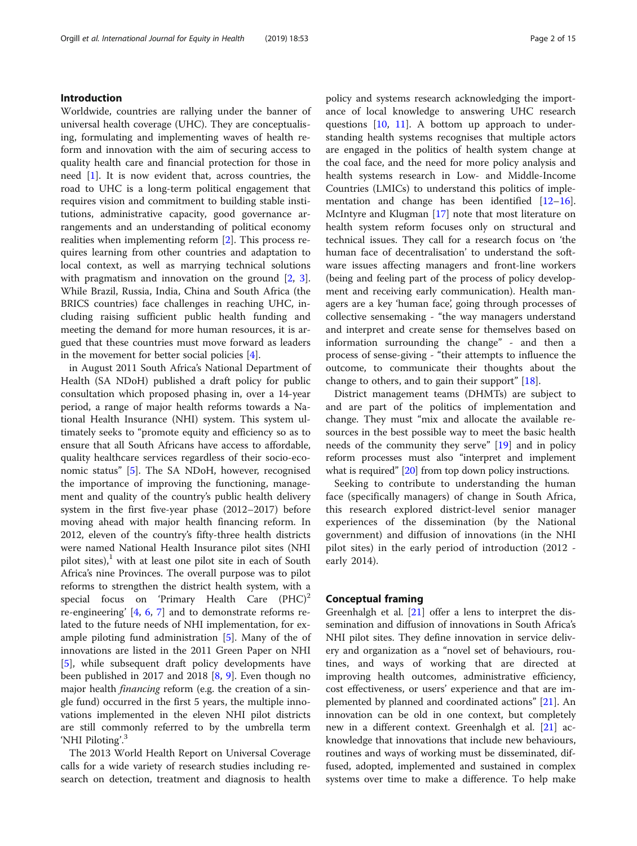#### Introduction

Worldwide, countries are rallying under the banner of universal health coverage (UHC). They are conceptualising, formulating and implementing waves of health reform and innovation with the aim of securing access to quality health care and financial protection for those in need [\[1](#page-13-0)]. It is now evident that, across countries, the road to UHC is a long-term political engagement that requires vision and commitment to building stable institutions, administrative capacity, good governance arrangements and an understanding of political economy realities when implementing reform [[2\]](#page-13-0). This process requires learning from other countries and adaptation to local context, as well as marrying technical solutions with pragmatism and innovation on the ground [[2,](#page-13-0) [3](#page-13-0)]. While Brazil, Russia, India, China and South Africa (the BRICS countries) face challenges in reaching UHC, including raising sufficient public health funding and meeting the demand for more human resources, it is argued that these countries must move forward as leaders in the movement for better social policies [[4\]](#page-13-0).

in August 2011 South Africa's National Department of Health (SA NDoH) published a draft policy for public consultation which proposed phasing in, over a 14-year period, a range of major health reforms towards a National Health Insurance (NHI) system. This system ultimately seeks to "promote equity and efficiency so as to ensure that all South Africans have access to affordable, quality healthcare services regardless of their socio-economic status" [\[5](#page-13-0)]. The SA NDoH, however, recognised the importance of improving the functioning, management and quality of the country's public health delivery system in the first five-year phase (2012–2017) before moving ahead with major health financing reform. In 2012, eleven of the country's fifty-three health districts were named National Health Insurance pilot sites (NHI pilot sites), $\frac{1}{1}$  with at least one pilot site in each of South Africa's nine Provinces. The overall purpose was to pilot reforms to strengthen the district health system, with a special focus on 'Primary Health Care  $(PHC)^2$ re-engineering' [[4,](#page-13-0) [6,](#page-13-0) [7](#page-13-0)] and to demonstrate reforms related to the future needs of NHI implementation, for example piloting fund administration [\[5](#page-13-0)]. Many of the of innovations are listed in the 2011 Green Paper on NHI [[5\]](#page-13-0), while subsequent draft policy developments have been published in 2017 and 2018 [[8,](#page-13-0) [9](#page-13-0)]. Even though no major health financing reform (e.g. the creation of a single fund) occurred in the first 5 years, the multiple innovations implemented in the eleven NHI pilot districts are still commonly referred to by the umbrella term 'NHI Piloting'.<sup>3</sup>

The 2013 World Health Report on Universal Coverage calls for a wide variety of research studies including research on detection, treatment and diagnosis to health policy and systems research acknowledging the importance of local knowledge to answering UHC research questions  $[10, 11]$  $[10, 11]$  $[10, 11]$  $[10, 11]$ . A bottom up approach to understanding health systems recognises that multiple actors are engaged in the politics of health system change at the coal face, and the need for more policy analysis and health systems research in Low- and Middle-Income Countries (LMICs) to understand this politics of implementation and change has been identified  $[12-16]$  $[12-16]$  $[12-16]$  $[12-16]$  $[12-16]$ . McIntyre and Klugman [\[17](#page-13-0)] note that most literature on health system reform focuses only on structural and technical issues. They call for a research focus on 'the human face of decentralisation' to understand the software issues affecting managers and front-line workers (being and feeling part of the process of policy development and receiving early communication). Health managers are a key 'human face', going through processes of collective sensemaking - "the way managers understand and interpret and create sense for themselves based on information surrounding the change" - and then a process of sense-giving - "their attempts to influence the outcome, to communicate their thoughts about the change to others, and to gain their support" [[18\]](#page-13-0).

District management teams (DHMTs) are subject to and are part of the politics of implementation and change. They must "mix and allocate the available resources in the best possible way to meet the basic health needs of the community they serve" [[19\]](#page-13-0) and in policy reform processes must also "interpret and implement what is required" [\[20](#page-13-0)] from top down policy instructions.

Seeking to contribute to understanding the human face (specifically managers) of change in South Africa, this research explored district-level senior manager experiences of the dissemination (by the National government) and diffusion of innovations (in the NHI pilot sites) in the early period of introduction (2012 early 2014).

#### Conceptual framing

Greenhalgh et al. [[21](#page-13-0)] offer a lens to interpret the dissemination and diffusion of innovations in South Africa's NHI pilot sites. They define innovation in service delivery and organization as a "novel set of behaviours, routines, and ways of working that are directed at improving health outcomes, administrative efficiency, cost effectiveness, or users' experience and that are implemented by planned and coordinated actions" [[21\]](#page-13-0). An innovation can be old in one context, but completely new in a different context. Greenhalgh et al. [\[21](#page-13-0)] acknowledge that innovations that include new behaviours, routines and ways of working must be disseminated, diffused, adopted, implemented and sustained in complex systems over time to make a difference. To help make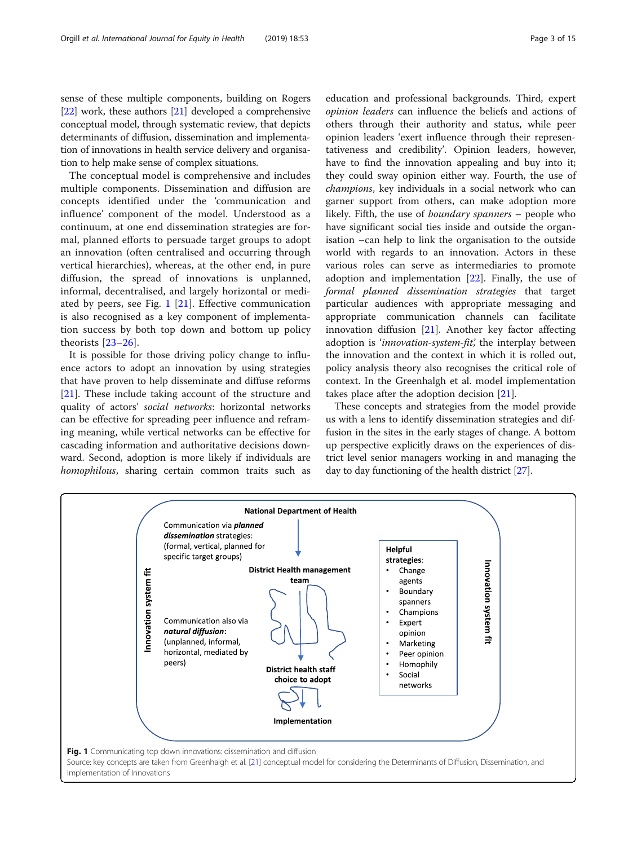sense of these multiple components, building on Rogers [[22](#page-13-0)] work, these authors [[21](#page-13-0)] developed a comprehensive conceptual model, through systematic review, that depicts determinants of diffusion, dissemination and implementation of innovations in health service delivery and organisation to help make sense of complex situations.

The conceptual model is comprehensive and includes multiple components. Dissemination and diffusion are concepts identified under the 'communication and influence' component of the model. Understood as a continuum, at one end dissemination strategies are formal, planned efforts to persuade target groups to adopt an innovation (often centralised and occurring through vertical hierarchies), whereas, at the other end, in pure diffusion, the spread of innovations is unplanned, informal, decentralised, and largely horizontal or mediated by peers, see Fig. 1 [[21\]](#page-13-0). Effective communication is also recognised as a key component of implementation success by both top down and bottom up policy theorists [[23](#page-13-0)–[26\]](#page-13-0).

It is possible for those driving policy change to influence actors to adopt an innovation by using strategies that have proven to help disseminate and diffuse reforms [[21\]](#page-13-0). These include taking account of the structure and quality of actors' social networks: horizontal networks can be effective for spreading peer influence and reframing meaning, while vertical networks can be effective for cascading information and authoritative decisions downward. Second, adoption is more likely if individuals are homophilous, sharing certain common traits such as

education and professional backgrounds. Third, expert opinion leaders can influence the beliefs and actions of others through their authority and status, while peer opinion leaders 'exert influence through their representativeness and credibility'. Opinion leaders, however, have to find the innovation appealing and buy into it; they could sway opinion either way. Fourth, the use of champions, key individuals in a social network who can garner support from others, can make adoption more likely. Fifth, the use of boundary spanners – people who have significant social ties inside and outside the organisation –can help to link the organisation to the outside world with regards to an innovation. Actors in these various roles can serve as intermediaries to promote adoption and implementation  $[22]$  $[22]$ . Finally, the use of formal planned dissemination strategies that target particular audiences with appropriate messaging and appropriate communication channels can facilitate innovation diffusion [\[21](#page-13-0)]. Another key factor affecting adoption is 'innovation-system-fit', the interplay between the innovation and the context in which it is rolled out, policy analysis theory also recognises the critical role of context. In the Greenhalgh et al. model implementation takes place after the adoption decision [\[21](#page-13-0)].

These concepts and strategies from the model provide us with a lens to identify dissemination strategies and diffusion in the sites in the early stages of change. A bottom up perspective explicitly draws on the experiences of district level senior managers working in and managing the day to day functioning of the health district [\[27\]](#page-13-0).

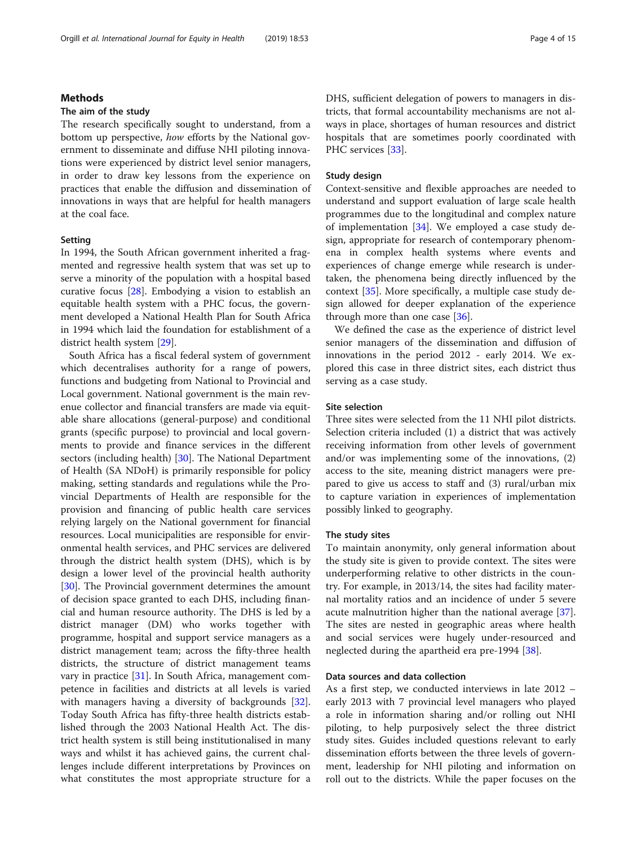#### Methods

#### The aim of the study

The research specifically sought to understand, from a bottom up perspective, how efforts by the National government to disseminate and diffuse NHI piloting innovations were experienced by district level senior managers, in order to draw key lessons from the experience on practices that enable the diffusion and dissemination of innovations in ways that are helpful for health managers at the coal face.

#### Setting

In 1994, the South African government inherited a fragmented and regressive health system that was set up to serve a minority of the population with a hospital based curative focus [\[28](#page-13-0)]. Embodying a vision to establish an equitable health system with a PHC focus, the government developed a National Health Plan for South Africa in 1994 which laid the foundation for establishment of a district health system [\[29\]](#page-13-0).

South Africa has a fiscal federal system of government which decentralises authority for a range of powers, functions and budgeting from National to Provincial and Local government. National government is the main revenue collector and financial transfers are made via equitable share allocations (general-purpose) and conditional grants (specific purpose) to provincial and local governments to provide and finance services in the different sectors (including health) [\[30](#page-13-0)]. The National Department of Health (SA NDoH) is primarily responsible for policy making, setting standards and regulations while the Provincial Departments of Health are responsible for the provision and financing of public health care services relying largely on the National government for financial resources. Local municipalities are responsible for environmental health services, and PHC services are delivered through the district health system (DHS), which is by design a lower level of the provincial health authority [[30\]](#page-13-0). The Provincial government determines the amount of decision space granted to each DHS, including financial and human resource authority. The DHS is led by a district manager (DM) who works together with programme, hospital and support service managers as a district management team; across the fifty-three health districts, the structure of district management teams vary in practice [\[31](#page-13-0)]. In South Africa, management competence in facilities and districts at all levels is varied with managers having a diversity of backgrounds [\[32](#page-13-0)]. Today South Africa has fifty-three health districts established through the 2003 National Health Act. The district health system is still being institutionalised in many ways and whilst it has achieved gains, the current challenges include different interpretations by Provinces on what constitutes the most appropriate structure for a DHS, sufficient delegation of powers to managers in districts, that formal accountability mechanisms are not always in place, shortages of human resources and district hospitals that are sometimes poorly coordinated with PHC services [\[33](#page-13-0)].

#### Study design

Context-sensitive and flexible approaches are needed to understand and support evaluation of large scale health programmes due to the longitudinal and complex nature of implementation [[34\]](#page-13-0). We employed a case study design, appropriate for research of contemporary phenomena in complex health systems where events and experiences of change emerge while research is undertaken, the phenomena being directly influenced by the context [[35](#page-13-0)]. More specifically, a multiple case study design allowed for deeper explanation of the experience through more than one case [[36\]](#page-13-0).

We defined the case as the experience of district level senior managers of the dissemination and diffusion of innovations in the period 2012 - early 2014. We explored this case in three district sites, each district thus serving as a case study.

#### Site selection

Three sites were selected from the 11 NHI pilot districts. Selection criteria included (1) a district that was actively receiving information from other levels of government and/or was implementing some of the innovations, (2) access to the site, meaning district managers were prepared to give us access to staff and (3) rural/urban mix to capture variation in experiences of implementation possibly linked to geography.

#### The study sites

To maintain anonymity, only general information about the study site is given to provide context. The sites were underperforming relative to other districts in the country. For example, in 2013/14, the sites had facility maternal mortality ratios and an incidence of under 5 severe acute malnutrition higher than the national average [\[37](#page-13-0)]. The sites are nested in geographic areas where health and social services were hugely under-resourced and neglected during the apartheid era pre-1994 [\[38](#page-13-0)].

#### Data sources and data collection

As a first step, we conducted interviews in late 2012 – early 2013 with 7 provincial level managers who played a role in information sharing and/or rolling out NHI piloting, to help purposively select the three district study sites. Guides included questions relevant to early dissemination efforts between the three levels of government, leadership for NHI piloting and information on roll out to the districts. While the paper focuses on the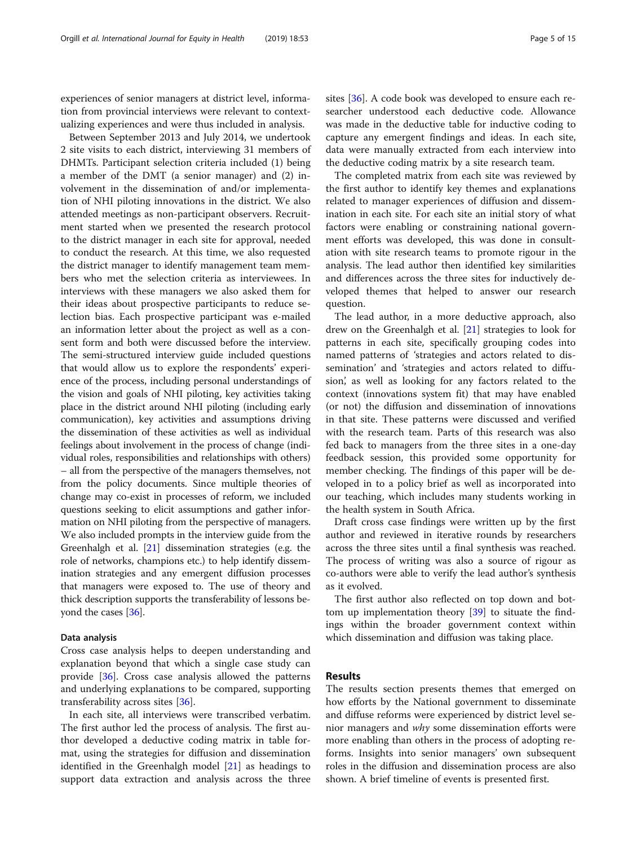experiences of senior managers at district level, information from provincial interviews were relevant to contextualizing experiences and were thus included in analysis.

Between September 2013 and July 2014, we undertook 2 site visits to each district, interviewing 31 members of DHMTs. Participant selection criteria included (1) being a member of the DMT (a senior manager) and (2) involvement in the dissemination of and/or implementation of NHI piloting innovations in the district. We also attended meetings as non-participant observers. Recruitment started when we presented the research protocol to the district manager in each site for approval, needed to conduct the research. At this time, we also requested the district manager to identify management team members who met the selection criteria as interviewees. In interviews with these managers we also asked them for their ideas about prospective participants to reduce selection bias. Each prospective participant was e-mailed an information letter about the project as well as a consent form and both were discussed before the interview. The semi-structured interview guide included questions that would allow us to explore the respondents' experience of the process, including personal understandings of the vision and goals of NHI piloting, key activities taking place in the district around NHI piloting (including early communication), key activities and assumptions driving the dissemination of these activities as well as individual feelings about involvement in the process of change (individual roles, responsibilities and relationships with others) – all from the perspective of the managers themselves, not from the policy documents. Since multiple theories of change may co-exist in processes of reform, we included questions seeking to elicit assumptions and gather information on NHI piloting from the perspective of managers. We also included prompts in the interview guide from the Greenhalgh et al. [\[21\]](#page-13-0) dissemination strategies (e.g. the role of networks, champions etc.) to help identify dissemination strategies and any emergent diffusion processes that managers were exposed to. The use of theory and thick description supports the transferability of lessons beyond the cases [[36](#page-13-0)].

#### Data analysis

Cross case analysis helps to deepen understanding and explanation beyond that which a single case study can provide [[36\]](#page-13-0). Cross case analysis allowed the patterns and underlying explanations to be compared, supporting transferability across sites [[36\]](#page-13-0).

In each site, all interviews were transcribed verbatim. The first author led the process of analysis. The first author developed a deductive coding matrix in table format, using the strategies for diffusion and dissemination identified in the Greenhalgh model [[21\]](#page-13-0) as headings to support data extraction and analysis across the three sites [[36](#page-13-0)]. A code book was developed to ensure each researcher understood each deductive code. Allowance was made in the deductive table for inductive coding to capture any emergent findings and ideas. In each site, data were manually extracted from each interview into the deductive coding matrix by a site research team.

The completed matrix from each site was reviewed by the first author to identify key themes and explanations related to manager experiences of diffusion and dissemination in each site. For each site an initial story of what factors were enabling or constraining national government efforts was developed, this was done in consultation with site research teams to promote rigour in the analysis. The lead author then identified key similarities and differences across the three sites for inductively developed themes that helped to answer our research question.

The lead author, in a more deductive approach, also drew on the Greenhalgh et al. [\[21](#page-13-0)] strategies to look for patterns in each site, specifically grouping codes into named patterns of 'strategies and actors related to dissemination' and 'strategies and actors related to diffusion', as well as looking for any factors related to the context (innovations system fit) that may have enabled (or not) the diffusion and dissemination of innovations in that site. These patterns were discussed and verified with the research team. Parts of this research was also fed back to managers from the three sites in a one-day feedback session, this provided some opportunity for member checking. The findings of this paper will be developed in to a policy brief as well as incorporated into our teaching, which includes many students working in the health system in South Africa.

Draft cross case findings were written up by the first author and reviewed in iterative rounds by researchers across the three sites until a final synthesis was reached. The process of writing was also a source of rigour as co-authors were able to verify the lead author's synthesis as it evolved.

The first author also reflected on top down and bottom up implementation theory [[39\]](#page-13-0) to situate the findings within the broader government context within which dissemination and diffusion was taking place.

#### Results

The results section presents themes that emerged on how efforts by the National government to disseminate and diffuse reforms were experienced by district level senior managers and why some dissemination efforts were more enabling than others in the process of adopting reforms. Insights into senior managers' own subsequent roles in the diffusion and dissemination process are also shown. A brief timeline of events is presented first.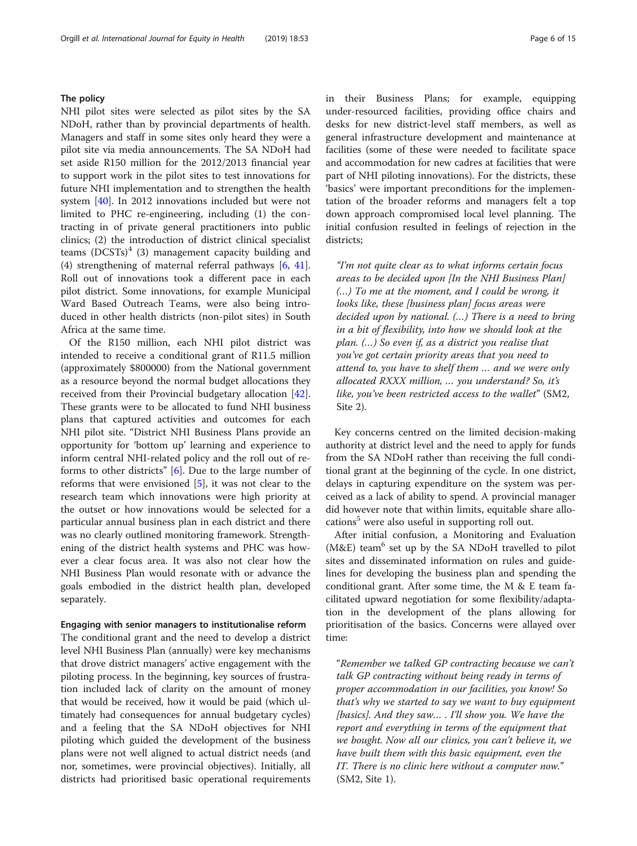#### The policy

NHI pilot sites were selected as pilot sites by the SA NDoH, rather than by provincial departments of health. Managers and staff in some sites only heard they were a pilot site via media announcements. The SA NDoH had set aside R150 million for the 2012/2013 financial year to support work in the pilot sites to test innovations for future NHI implementation and to strengthen the health system [\[40](#page-13-0)]. In 2012 innovations included but were not limited to PHC re-engineering, including (1) the contracting in of private general practitioners into public clinics; (2) the introduction of district clinical specialist teams  $(DCSTs)^4$  (3) management capacity building and (4) strengthening of maternal referral pathways [\[6](#page-13-0), [41](#page-13-0)]. Roll out of innovations took a different pace in each pilot district. Some innovations, for example Municipal Ward Based Outreach Teams, were also being introduced in other health districts (non-pilot sites) in South Africa at the same time.

Of the R150 million, each NHI pilot district was intended to receive a conditional grant of R11.5 million (approximately \$800000) from the National government as a resource beyond the normal budget allocations they received from their Provincial budgetary allocation [\[42](#page-13-0)]. These grants were to be allocated to fund NHI business plans that captured activities and outcomes for each NHI pilot site. "District NHI Business Plans provide an opportunity for 'bottom up' learning and experience to inform central NHI-related policy and the roll out of reforms to other districts" [[6\]](#page-13-0). Due to the large number of reforms that were envisioned [\[5](#page-13-0)], it was not clear to the research team which innovations were high priority at the outset or how innovations would be selected for a particular annual business plan in each district and there was no clearly outlined monitoring framework. Strengthening of the district health systems and PHC was however a clear focus area. It was also not clear how the NHI Business Plan would resonate with or advance the goals embodied in the district health plan, developed separately.

#### Engaging with senior managers to institutionalise reform

The conditional grant and the need to develop a district level NHI Business Plan (annually) were key mechanisms that drove district managers' active engagement with the piloting process. In the beginning, key sources of frustration included lack of clarity on the amount of money that would be received, how it would be paid (which ultimately had consequences for annual budgetary cycles) and a feeling that the SA NDoH objectives for NHI piloting which guided the development of the business plans were not well aligned to actual district needs (and nor, sometimes, were provincial objectives). Initially, all districts had prioritised basic operational requirements in their Business Plans; for example, equipping under-resourced facilities, providing office chairs and desks for new district-level staff members, as well as general infrastructure development and maintenance at facilities (some of these were needed to facilitate space and accommodation for new cadres at facilities that were part of NHI piloting innovations). For the districts, these 'basics' were important preconditions for the implementation of the broader reforms and managers felt a top down approach compromised local level planning. The initial confusion resulted in feelings of rejection in the districts;

"I'm not quite clear as to what informs certain focus areas to be decided upon [In the NHI Business Plan] (…) To me at the moment, and I could be wrong, it looks like, these [business plan] focus areas were decided upon by national. (…) There is a need to bring in a bit of flexibility, into how we should look at the plan. (…) So even if, as a district you realise that you've got certain priority areas that you need to attend to, you have to shelf them … and we were only allocated RXXX million, … you understand? So, it's like, you've been restricted access to the wallet" (SM2, Site 2).

Key concerns centred on the limited decision-making authority at district level and the need to apply for funds from the SA NDoH rather than receiving the full conditional grant at the beginning of the cycle. In one district, delays in capturing expenditure on the system was perceived as a lack of ability to spend. A provincial manager did however note that within limits, equitable share allocations<sup>5</sup> were also useful in supporting roll out.

After initial confusion, a Monitoring and Evaluation ( $M&E$ ) team<sup>6</sup> set up by the SA NDoH travelled to pilot sites and disseminated information on rules and guidelines for developing the business plan and spending the conditional grant. After some time, the M & E team facilitated upward negotiation for some flexibility/adaptation in the development of the plans allowing for prioritisation of the basics. Concerns were allayed over time:

"Remember we talked GP contracting because we can't talk GP contracting without being ready in terms of proper accommodation in our facilities, you know! So that's why we started to say we want to buy equipment [basics]. And they saw… . I'll show you. We have the report and everything in terms of the equipment that we bought. Now all our clinics, you can't believe it, we have built them with this basic equipment, even the IT. There is no clinic here without a computer now." (SM2, Site 1).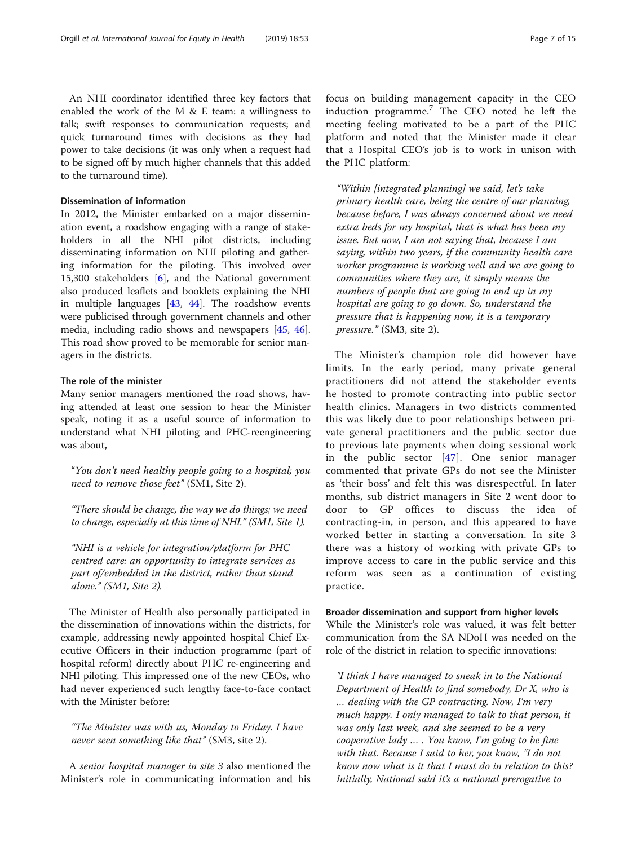An NHI coordinator identified three key factors that enabled the work of the M & E team: a willingness to talk; swift responses to communication requests; and quick turnaround times with decisions as they had power to take decisions (it was only when a request had to be signed off by much higher channels that this added to the turnaround time).

#### Dissemination of information

In 2012, the Minister embarked on a major dissemination event, a roadshow engaging with a range of stakeholders in all the NHI pilot districts, including disseminating information on NHI piloting and gathering information for the piloting. This involved over 15,300 stakeholders [[6\]](#page-13-0), and the National government also produced leaflets and booklets explaining the NHI in multiple languages [[43,](#page-13-0) [44](#page-13-0)]. The roadshow events were publicised through government channels and other media, including radio shows and newspapers [\[45,](#page-13-0) [46](#page-13-0)]. This road show proved to be memorable for senior managers in the districts.

#### The role of the minister

Many senior managers mentioned the road shows, having attended at least one session to hear the Minister speak, noting it as a useful source of information to understand what NHI piloting and PHC-reengineering was about,

"You don't need healthy people going to a hospital; you need to remove those feet" (SM1, Site 2).

"There should be change, the way we do things; we need to change, especially at this time of NHI." (SM1, Site 1).

"NHI is a vehicle for integration/platform for PHC centred care: an opportunity to integrate services as part of/embedded in the district, rather than stand alone." (SM1, Site 2).

The Minister of Health also personally participated in the dissemination of innovations within the districts, for example, addressing newly appointed hospital Chief Executive Officers in their induction programme (part of hospital reform) directly about PHC re-engineering and NHI piloting. This impressed one of the new CEOs, who had never experienced such lengthy face-to-face contact with the Minister before:

"The Minister was with us, Monday to Friday. I have never seen something like that" (SM3, site 2).

A senior hospital manager in site 3 also mentioned the Minister's role in communicating information and his

focus on building management capacity in the CEO induction programme.<sup>7</sup> The CEO noted he left the meeting feeling motivated to be a part of the PHC platform and noted that the Minister made it clear that a Hospital CEO's job is to work in unison with the PHC platform:

"Within [integrated planning] we said, let's take primary health care, being the centre of our planning, because before, I was always concerned about we need extra beds for my hospital, that is what has been my issue. But now, I am not saying that, because I am saying, within two years, if the community health care worker programme is working well and we are going to communities where they are, it simply means the numbers of people that are going to end up in my hospital are going to go down. So, understand the pressure that is happening now, it is a temporary pressure." (SM3, site 2).

The Minister's champion role did however have limits. In the early period, many private general practitioners did not attend the stakeholder events he hosted to promote contracting into public sector health clinics. Managers in two districts commented this was likely due to poor relationships between private general practitioners and the public sector due to previous late payments when doing sessional work in the public sector [\[47\]](#page-13-0). One senior manager commented that private GPs do not see the Minister as 'their boss' and felt this was disrespectful. In later months, sub district managers in Site 2 went door to door to GP offices to discuss the idea of contracting-in, in person, and this appeared to have worked better in starting a conversation. In site 3 there was a history of working with private GPs to improve access to care in the public service and this reform was seen as a continuation of existing practice.

#### Broader dissemination and support from higher levels

While the Minister's role was valued, it was felt better communication from the SA NDoH was needed on the role of the district in relation to specific innovations:

"I think I have managed to sneak in to the National Department of Health to find somebody, Dr X, who is … dealing with the GP contracting. Now, I'm very much happy. I only managed to talk to that person, it was only last week, and she seemed to be a very cooperative lady … . You know, I'm going to be fine with that. Because I said to her, you know, "I do not know now what is it that I must do in relation to this? Initially, National said it's a national prerogative to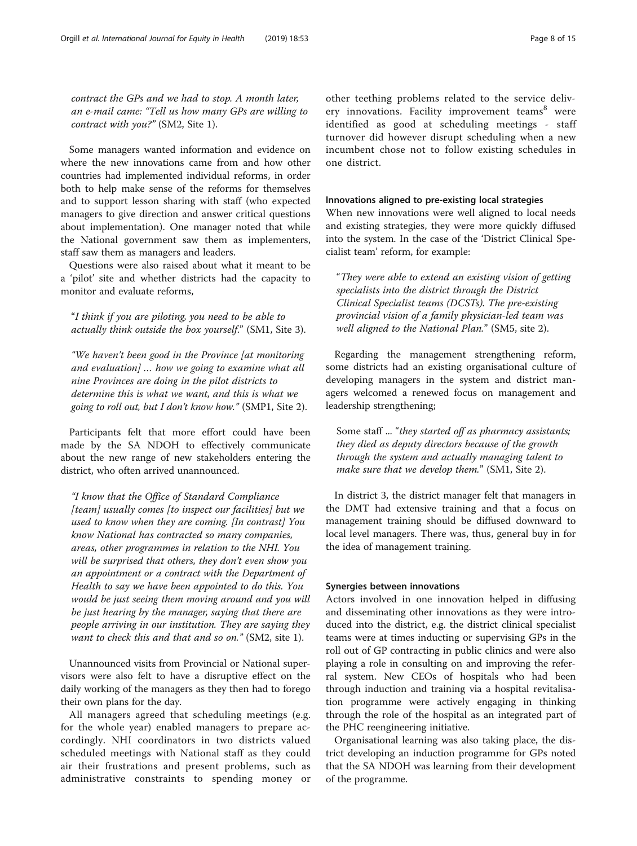contract the GPs and we had to stop. A month later, an e-mail came: "Tell us how many GPs are willing to contract with you?" (SM2, Site 1).

Some managers wanted information and evidence on where the new innovations came from and how other countries had implemented individual reforms, in order both to help make sense of the reforms for themselves and to support lesson sharing with staff (who expected managers to give direction and answer critical questions about implementation). One manager noted that while the National government saw them as implementers, staff saw them as managers and leaders.

Questions were also raised about what it meant to be a 'pilot' site and whether districts had the capacity to monitor and evaluate reforms,

"I think if you are piloting, you need to be able to actually think outside the box yourself." (SM1, Site 3).

"We haven't been good in the Province [at monitoring and evaluation] … how we going to examine what all nine Provinces are doing in the pilot districts to determine this is what we want, and this is what we going to roll out, but I don't know how." (SMP1, Site 2).

Participants felt that more effort could have been made by the SA NDOH to effectively communicate about the new range of new stakeholders entering the district, who often arrived unannounced.

"I know that the Office of Standard Compliance [team] usually comes [to inspect our facilities] but we used to know when they are coming. [In contrast] You know National has contracted so many companies, areas, other programmes in relation to the NHI. You will be surprised that others, they don't even show you an appointment or a contract with the Department of Health to say we have been appointed to do this. You would be just seeing them moving around and you will be just hearing by the manager, saying that there are people arriving in our institution. They are saying they want to check this and that and so on." (SM2, site 1).

Unannounced visits from Provincial or National supervisors were also felt to have a disruptive effect on the daily working of the managers as they then had to forego their own plans for the day.

All managers agreed that scheduling meetings (e.g. for the whole year) enabled managers to prepare accordingly. NHI coordinators in two districts valued scheduled meetings with National staff as they could air their frustrations and present problems, such as administrative constraints to spending money or other teething problems related to the service delivery innovations. Facility improvement teams<sup>8</sup> were identified as good at scheduling meetings - staff turnover did however disrupt scheduling when a new incumbent chose not to follow existing schedules in one district.

#### Innovations aligned to pre-existing local strategies

When new innovations were well aligned to local needs and existing strategies, they were more quickly diffused into the system. In the case of the 'District Clinical Specialist team' reform, for example:

"They were able to extend an existing vision of getting specialists into the district through the District Clinical Specialist teams (DCSTs). The pre-existing provincial vision of a family physician-led team was well aligned to the National Plan." (SM5, site 2).

Regarding the management strengthening reform, some districts had an existing organisational culture of developing managers in the system and district managers welcomed a renewed focus on management and leadership strengthening;

Some staff ... "they started off as pharmacy assistants; they died as deputy directors because of the growth through the system and actually managing talent to make sure that we develop them." (SM1, Site 2).

In district 3, the district manager felt that managers in the DMT had extensive training and that a focus on management training should be diffused downward to local level managers. There was, thus, general buy in for the idea of management training.

#### Synergies between innovations

Actors involved in one innovation helped in diffusing and disseminating other innovations as they were introduced into the district, e.g. the district clinical specialist teams were at times inducting or supervising GPs in the roll out of GP contracting in public clinics and were also playing a role in consulting on and improving the referral system. New CEOs of hospitals who had been through induction and training via a hospital revitalisation programme were actively engaging in thinking through the role of the hospital as an integrated part of the PHC reengineering initiative.

Organisational learning was also taking place, the district developing an induction programme for GPs noted that the SA NDOH was learning from their development of the programme.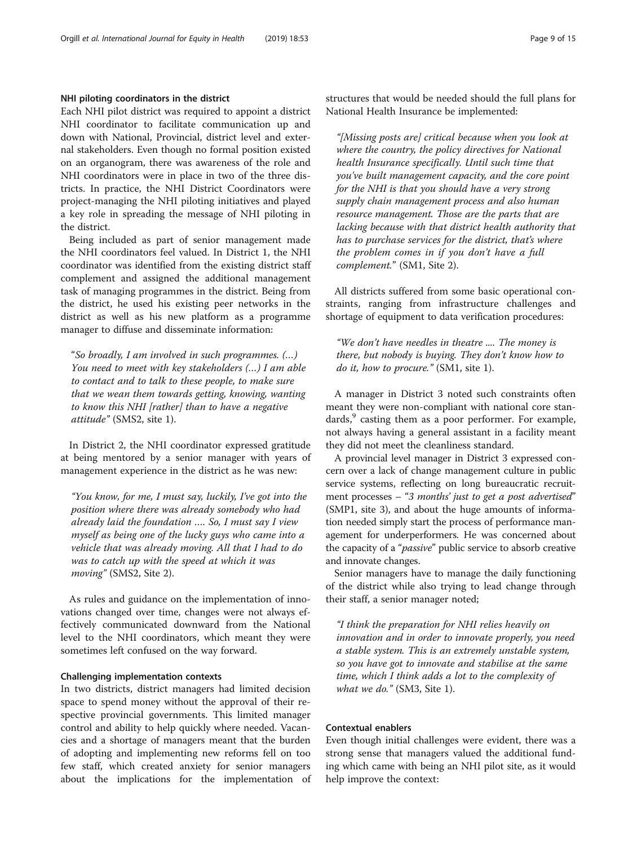#### NHI piloting coordinators in the district

Each NHI pilot district was required to appoint a district NHI coordinator to facilitate communication up and down with National, Provincial, district level and external stakeholders. Even though no formal position existed on an organogram, there was awareness of the role and NHI coordinators were in place in two of the three districts. In practice, the NHI District Coordinators were project-managing the NHI piloting initiatives and played a key role in spreading the message of NHI piloting in the district.

Being included as part of senior management made the NHI coordinators feel valued. In District 1, the NHI coordinator was identified from the existing district staff complement and assigned the additional management task of managing programmes in the district. Being from the district, he used his existing peer networks in the district as well as his new platform as a programme manager to diffuse and disseminate information:

"So broadly, I am involved in such programmes. (…) You need to meet with key stakeholders (…) I am able to contact and to talk to these people, to make sure that we wean them towards getting, knowing, wanting to know this NHI [rather] than to have a negative attitude" (SMS2, site 1).

In District 2, the NHI coordinator expressed gratitude at being mentored by a senior manager with years of management experience in the district as he was new:

"You know, for me, I must say, luckily, I've got into the position where there was already somebody who had already laid the foundation …. So, I must say I view myself as being one of the lucky guys who came into a vehicle that was already moving. All that I had to do was to catch up with the speed at which it was moving" (SMS2, Site 2).

As rules and guidance on the implementation of innovations changed over time, changes were not always effectively communicated downward from the National level to the NHI coordinators, which meant they were sometimes left confused on the way forward.

#### Challenging implementation contexts

In two districts, district managers had limited decision space to spend money without the approval of their respective provincial governments. This limited manager control and ability to help quickly where needed. Vacancies and a shortage of managers meant that the burden of adopting and implementing new reforms fell on too few staff, which created anxiety for senior managers about the implications for the implementation of structures that would be needed should the full plans for National Health Insurance be implemented:

"[Missing posts are] critical because when you look at where the country, the policy directives for National health Insurance specifically. Until such time that you've built management capacity, and the core point for the NHI is that you should have a very strong supply chain management process and also human resource management. Those are the parts that are lacking because with that district health authority that has to purchase services for the district, that's where the problem comes in if you don't have a full complement." (SM1, Site 2).

All districts suffered from some basic operational constraints, ranging from infrastructure challenges and shortage of equipment to data verification procedures:

"We don't have needles in theatre .... The money is there, but nobody is buying. They don't know how to do it, how to procure." (SM1, site 1).

A manager in District 3 noted such constraints often meant they were non-compliant with national core standards, $9$  casting them as a poor performer. For example, not always having a general assistant in a facility meant they did not meet the cleanliness standard.

A provincial level manager in District 3 expressed concern over a lack of change management culture in public service systems, reflecting on long bureaucratic recruitment processes – "3 months' just to get a post advertised" (SMP1, site 3), and about the huge amounts of information needed simply start the process of performance management for underperformers. He was concerned about the capacity of a "passive" public service to absorb creative and innovate changes.

Senior managers have to manage the daily functioning of the district while also trying to lead change through their staff, a senior manager noted;

"I think the preparation for NHI relies heavily on innovation and in order to innovate properly, you need a stable system. This is an extremely unstable system, so you have got to innovate and stabilise at the same time, which I think adds a lot to the complexity of what we do." (SM3, Site 1).

#### Contextual enablers

Even though initial challenges were evident, there was a strong sense that managers valued the additional funding which came with being an NHI pilot site, as it would help improve the context: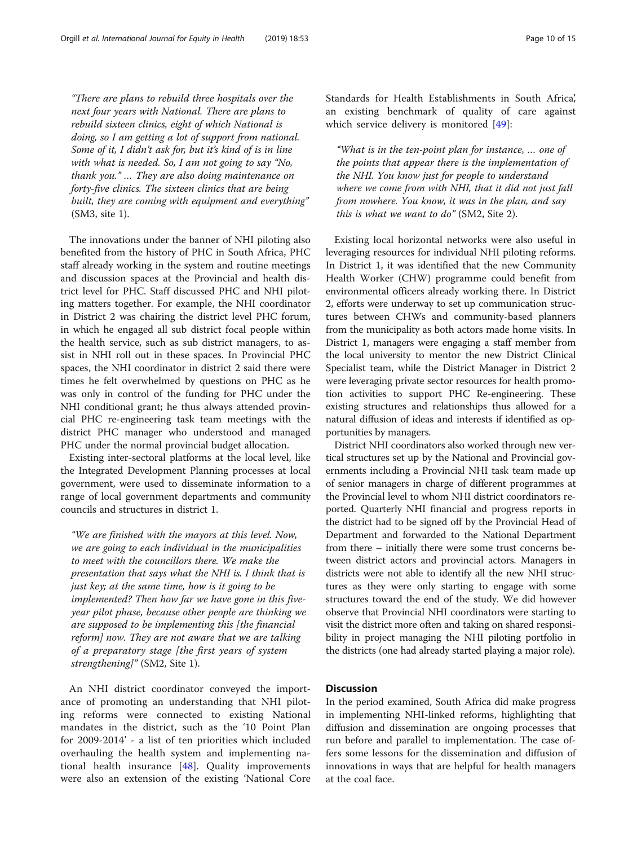"There are plans to rebuild three hospitals over the next four years with National. There are plans to rebuild sixteen clinics, eight of which National is doing, so I am getting a lot of support from national. Some of it, I didn't ask for, but it's kind of is in line with what is needed. So, I am not going to say "No, thank you." … They are also doing maintenance on forty-five clinics. The sixteen clinics that are being built, they are coming with equipment and everything" (SM3, site 1).

The innovations under the banner of NHI piloting also benefited from the history of PHC in South Africa, PHC staff already working in the system and routine meetings and discussion spaces at the Provincial and health district level for PHC. Staff discussed PHC and NHI piloting matters together. For example, the NHI coordinator in District 2 was chairing the district level PHC forum, in which he engaged all sub district focal people within the health service, such as sub district managers, to assist in NHI roll out in these spaces. In Provincial PHC spaces, the NHI coordinator in district 2 said there were times he felt overwhelmed by questions on PHC as he was only in control of the funding for PHC under the NHI conditional grant; he thus always attended provincial PHC re-engineering task team meetings with the district PHC manager who understood and managed PHC under the normal provincial budget allocation.

Existing inter-sectoral platforms at the local level, like the Integrated Development Planning processes at local government, were used to disseminate information to a range of local government departments and community councils and structures in district 1.

"We are finished with the mayors at this level. Now, we are going to each individual in the municipalities to meet with the councillors there. We make the presentation that says what the NHI is. I think that is just key; at the same time, how is it going to be implemented? Then how far we have gone in this fiveyear pilot phase, because other people are thinking we are supposed to be implementing this [the financial reform] now. They are not aware that we are talking of a preparatory stage [the first years of system strengthening]" (SM2, Site 1).

An NHI district coordinator conveyed the importance of promoting an understanding that NHI piloting reforms were connected to existing National mandates in the district, such as the '10 Point Plan for 2009-2014' - a list of ten priorities which included overhauling the health system and implementing national health insurance  $[48]$  $[48]$ . Quality improvements were also an extension of the existing 'National Core Standards for Health Establishments in South Africa', an existing benchmark of quality of care against which service delivery is monitored [[49\]](#page-14-0):

"What is in the ten-point plan for instance, … one of the points that appear there is the implementation of the NHI. You know just for people to understand where we come from with NHI, that it did not just fall from nowhere. You know, it was in the plan, and say this is what we want to do"  $(SM2, Site 2)$ .

Existing local horizontal networks were also useful in leveraging resources for individual NHI piloting reforms. In District 1, it was identified that the new Community Health Worker (CHW) programme could benefit from environmental officers already working there. In District 2, efforts were underway to set up communication structures between CHWs and community-based planners from the municipality as both actors made home visits. In District 1, managers were engaging a staff member from the local university to mentor the new District Clinical Specialist team, while the District Manager in District 2 were leveraging private sector resources for health promotion activities to support PHC Re-engineering. These existing structures and relationships thus allowed for a natural diffusion of ideas and interests if identified as opportunities by managers.

District NHI coordinators also worked through new vertical structures set up by the National and Provincial governments including a Provincial NHI task team made up of senior managers in charge of different programmes at the Provincial level to whom NHI district coordinators reported. Quarterly NHI financial and progress reports in the district had to be signed off by the Provincial Head of Department and forwarded to the National Department from there – initially there were some trust concerns between district actors and provincial actors. Managers in districts were not able to identify all the new NHI structures as they were only starting to engage with some structures toward the end of the study. We did however observe that Provincial NHI coordinators were starting to visit the district more often and taking on shared responsibility in project managing the NHI piloting portfolio in the districts (one had already started playing a major role).

#### **Discussion**

In the period examined, South Africa did make progress in implementing NHI-linked reforms, highlighting that diffusion and dissemination are ongoing processes that run before and parallel to implementation. The case offers some lessons for the dissemination and diffusion of innovations in ways that are helpful for health managers at the coal face.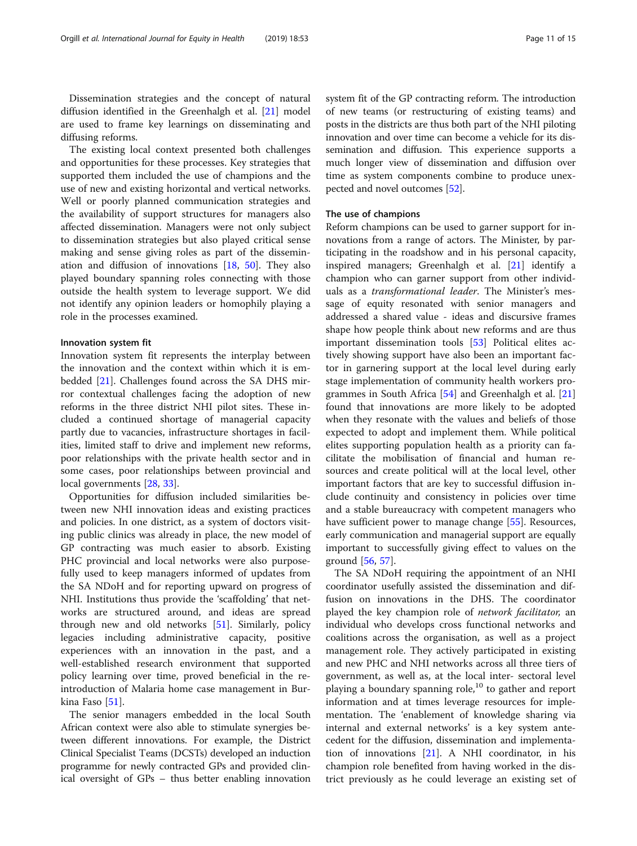Dissemination strategies and the concept of natural diffusion identified in the Greenhalgh et al. [[21\]](#page-13-0) model are used to frame key learnings on disseminating and diffusing reforms.

The existing local context presented both challenges and opportunities for these processes. Key strategies that supported them included the use of champions and the use of new and existing horizontal and vertical networks. Well or poorly planned communication strategies and the availability of support structures for managers also affected dissemination. Managers were not only subject to dissemination strategies but also played critical sense making and sense giving roles as part of the dissemination and diffusion of innovations [[18,](#page-13-0) [50\]](#page-14-0). They also played boundary spanning roles connecting with those outside the health system to leverage support. We did not identify any opinion leaders or homophily playing a role in the processes examined.

#### Innovation system fit

Innovation system fit represents the interplay between the innovation and the context within which it is embedded [\[21](#page-13-0)]. Challenges found across the SA DHS mirror contextual challenges facing the adoption of new reforms in the three district NHI pilot sites. These included a continued shortage of managerial capacity partly due to vacancies, infrastructure shortages in facilities, limited staff to drive and implement new reforms, poor relationships with the private health sector and in some cases, poor relationships between provincial and local governments [[28](#page-13-0), [33](#page-13-0)].

Opportunities for diffusion included similarities between new NHI innovation ideas and existing practices and policies. In one district, as a system of doctors visiting public clinics was already in place, the new model of GP contracting was much easier to absorb. Existing PHC provincial and local networks were also purposefully used to keep managers informed of updates from the SA NDoH and for reporting upward on progress of NHI. Institutions thus provide the 'scaffolding' that networks are structured around, and ideas are spread through new and old networks [\[51\]](#page-14-0). Similarly, policy legacies including administrative capacity, positive experiences with an innovation in the past, and a well-established research environment that supported policy learning over time, proved beneficial in the reintroduction of Malaria home case management in Burkina Faso [\[51](#page-14-0)].

The senior managers embedded in the local South African context were also able to stimulate synergies between different innovations. For example, the District Clinical Specialist Teams (DCSTs) developed an induction programme for newly contracted GPs and provided clinical oversight of GPs – thus better enabling innovation system fit of the GP contracting reform. The introduction of new teams (or restructuring of existing teams) and posts in the districts are thus both part of the NHI piloting innovation and over time can become a vehicle for its dissemination and diffusion. This experience supports a much longer view of dissemination and diffusion over time as system components combine to produce unexpected and novel outcomes [[52](#page-14-0)].

#### The use of champions

Reform champions can be used to garner support for innovations from a range of actors. The Minister, by participating in the roadshow and in his personal capacity, inspired managers; Greenhalgh et al. [[21\]](#page-13-0) identify a champion who can garner support from other individuals as a transformational leader. The Minister's message of equity resonated with senior managers and addressed a shared value - ideas and discursive frames shape how people think about new reforms and are thus important dissemination tools [\[53](#page-14-0)] Political elites actively showing support have also been an important factor in garnering support at the local level during early stage implementation of community health workers programmes in South Africa  $[54]$  $[54]$  $[54]$  and Greenhalgh et al.  $[21]$  $[21]$  $[21]$ found that innovations are more likely to be adopted when they resonate with the values and beliefs of those expected to adopt and implement them. While political elites supporting population health as a priority can facilitate the mobilisation of financial and human resources and create political will at the local level, other important factors that are key to successful diffusion include continuity and consistency in policies over time and a stable bureaucracy with competent managers who have sufficient power to manage change [[55\]](#page-14-0). Resources, early communication and managerial support are equally important to successfully giving effect to values on the ground [\[56](#page-14-0), [57](#page-14-0)].

The SA NDoH requiring the appointment of an NHI coordinator usefully assisted the dissemination and diffusion on innovations in the DHS. The coordinator played the key champion role of *network facilitator*, an individual who develops cross functional networks and coalitions across the organisation, as well as a project management role. They actively participated in existing and new PHC and NHI networks across all three tiers of government, as well as, at the local inter- sectoral level playing a boundary spanning role,<sup>10</sup> to gather and report information and at times leverage resources for implementation. The 'enablement of knowledge sharing via internal and external networks' is a key system antecedent for the diffusion, dissemination and implementation of innovations [\[21](#page-13-0)]. A NHI coordinator, in his champion role benefited from having worked in the district previously as he could leverage an existing set of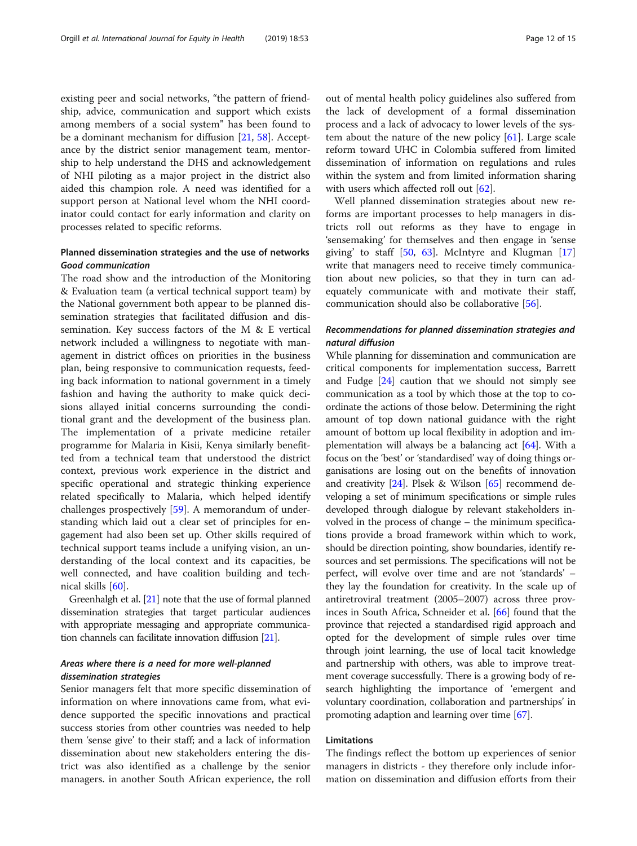existing peer and social networks, "the pattern of friendship, advice, communication and support which exists among members of a social system" has been found to be a dominant mechanism for diffusion [[21](#page-13-0), [58](#page-14-0)]. Acceptance by the district senior management team, mentorship to help understand the DHS and acknowledgement of NHI piloting as a major project in the district also aided this champion role. A need was identified for a support person at National level whom the NHI coordinator could contact for early information and clarity on processes related to specific reforms.

#### Planned dissemination strategies and the use of networks Good communication

The road show and the introduction of the Monitoring & Evaluation team (a vertical technical support team) by the National government both appear to be planned dissemination strategies that facilitated diffusion and dissemination. Key success factors of the M & E vertical network included a willingness to negotiate with management in district offices on priorities in the business plan, being responsive to communication requests, feeding back information to national government in a timely fashion and having the authority to make quick decisions allayed initial concerns surrounding the conditional grant and the development of the business plan. The implementation of a private medicine retailer programme for Malaria in Kisii, Kenya similarly benefitted from a technical team that understood the district context, previous work experience in the district and specific operational and strategic thinking experience related specifically to Malaria, which helped identify challenges prospectively [[59\]](#page-14-0). A memorandum of understanding which laid out a clear set of principles for engagement had also been set up. Other skills required of technical support teams include a unifying vision, an understanding of the local context and its capacities, be well connected, and have coalition building and technical skills [\[60](#page-14-0)].

Greenhalgh et al. [\[21](#page-13-0)] note that the use of formal planned dissemination strategies that target particular audiences with appropriate messaging and appropriate communication channels can facilitate innovation diffusion [\[21\]](#page-13-0).

#### Areas where there is a need for more well-planned dissemination strategies

Senior managers felt that more specific dissemination of information on where innovations came from, what evidence supported the specific innovations and practical success stories from other countries was needed to help them 'sense give' to their staff; and a lack of information dissemination about new stakeholders entering the district was also identified as a challenge by the senior managers. in another South African experience, the roll out of mental health policy guidelines also suffered from the lack of development of a formal dissemination process and a lack of advocacy to lower levels of the system about the nature of the new policy  $[61]$  $[61]$ . Large scale reform toward UHC in Colombia suffered from limited dissemination of information on regulations and rules within the system and from limited information sharing with users which affected roll out [\[62\]](#page-14-0).

Well planned dissemination strategies about new reforms are important processes to help managers in districts roll out reforms as they have to engage in 'sensemaking' for themselves and then engage in 'sense giving' to staff  $[50, 63]$  $[50, 63]$  $[50, 63]$  $[50, 63]$  $[50, 63]$ . McIntyre and Klugman  $[17]$  $[17]$  $[17]$ write that managers need to receive timely communication about new policies, so that they in turn can adequately communicate with and motivate their staff, communication should also be collaborative [[56](#page-14-0)].

### Recommendations for planned dissemination strategies and natural diffusion

While planning for dissemination and communication are critical components for implementation success, Barrett and Fudge [[24](#page-13-0)] caution that we should not simply see communication as a tool by which those at the top to coordinate the actions of those below. Determining the right amount of top down national guidance with the right amount of bottom up local flexibility in adoption and implementation will always be a balancing act [\[64\]](#page-14-0). With a focus on the 'best' or 'standardised' way of doing things organisations are losing out on the benefits of innovation and creativity [[24](#page-13-0)]. Plsek & Wilson [[65](#page-14-0)] recommend developing a set of minimum specifications or simple rules developed through dialogue by relevant stakeholders involved in the process of change – the minimum specifications provide a broad framework within which to work, should be direction pointing, show boundaries, identify resources and set permissions. The specifications will not be perfect, will evolve over time and are not 'standards' – they lay the foundation for creativity. In the scale up of antiretroviral treatment (2005–2007) across three provinces in South Africa, Schneider et al. [\[66\]](#page-14-0) found that the province that rejected a standardised rigid approach and opted for the development of simple rules over time through joint learning, the use of local tacit knowledge and partnership with others, was able to improve treatment coverage successfully. There is a growing body of research highlighting the importance of 'emergent and voluntary coordination, collaboration and partnerships' in promoting adaption and learning over time [\[67\]](#page-14-0).

#### Limitations

The findings reflect the bottom up experiences of senior managers in districts - they therefore only include information on dissemination and diffusion efforts from their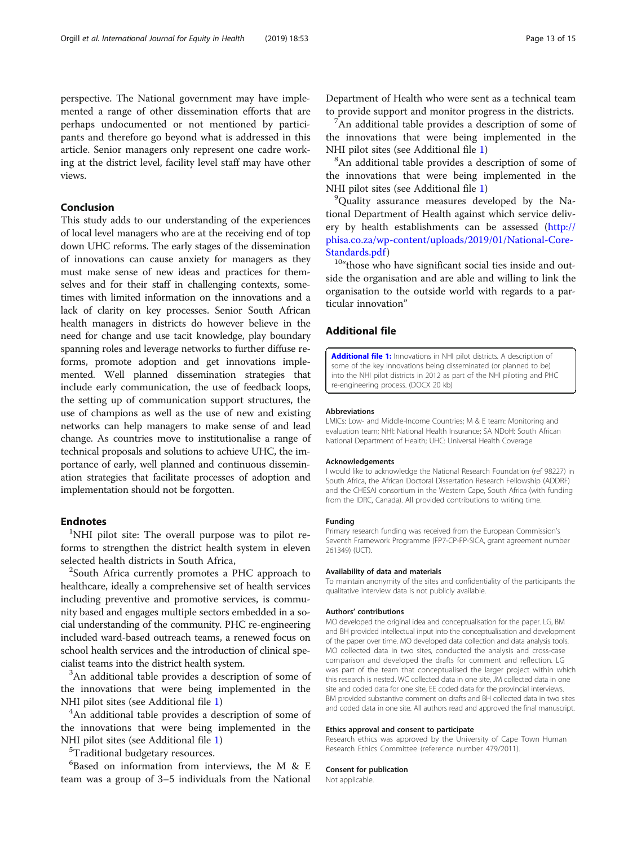perspective. The National government may have implemented a range of other dissemination efforts that are perhaps undocumented or not mentioned by participants and therefore go beyond what is addressed in this article. Senior managers only represent one cadre working at the district level, facility level staff may have other views.

#### Conclusion

This study adds to our understanding of the experiences of local level managers who are at the receiving end of top down UHC reforms. The early stages of the dissemination of innovations can cause anxiety for managers as they must make sense of new ideas and practices for themselves and for their staff in challenging contexts, sometimes with limited information on the innovations and a lack of clarity on key processes. Senior South African health managers in districts do however believe in the need for change and use tacit knowledge, play boundary spanning roles and leverage networks to further diffuse reforms, promote adoption and get innovations implemented. Well planned dissemination strategies that include early communication, the use of feedback loops, the setting up of communication support structures, the use of champions as well as the use of new and existing networks can help managers to make sense of and lead change. As countries move to institutionalise a range of technical proposals and solutions to achieve UHC, the importance of early, well planned and continuous dissemination strategies that facilitate processes of adoption and implementation should not be forgotten.

#### **Endnotes**

<sup>1</sup>NHI pilot site: The overall purpose was to pilot reforms to strengthen the district health system in eleven selected health districts in South Africa,

<sup>2</sup>South Africa currently promotes a PHC approach to healthcare, ideally a comprehensive set of health services including preventive and promotive services, is community based and engages multiple sectors embedded in a social understanding of the community. PHC re-engineering included ward-based outreach teams, a renewed focus on school health services and the introduction of clinical specialist teams into the district health system. <sup>3</sup>

<sup>3</sup>An additional table provides a description of some of the innovations that were being implemented in the NHI pilot sites (see Additional file 1) <sup>4</sup>

<sup>4</sup>An additional table provides a description of some of the innovations that were being implemented in the NHI pilot sites (see Additional file 1)

<sup>5</sup>Traditional budgetary resources.

6 Based on information from interviews, the M & E team was a group of 3–5 individuals from the National Department of Health who were sent as a technical team to provide support and monitor progress in the districts.

 $^7$ An additional table provides a description of some of the innovations that were being implemented in the NHI pilot sites (see Additional file 1)

<sup>8</sup>An additional table provides a description of some of the innovations that were being implemented in the NHI pilot sites (see Additional file 1)

<sup>9</sup>Quality assurance measures developed by the National Department of Health against which service delivery by health establishments can be assessed [\(http://](http://phisa.co.za/wp-content/uploads/2019/01/National-Core-Standards.pdf) [phisa.co.za/wp-content/uploads/2019/01/National-Core-](http://phisa.co.za/wp-content/uploads/2019/01/National-Core-Standards.pdf)

[Standards.pdf](http://phisa.co.za/wp-content/uploads/2019/01/National-Core-Standards.pdf))<br><sup>10</sup>"those who have significant social ties inside and outside the organisation and are able and willing to link the organisation to the outside world with regards to a particular innovation"

#### Additional file

[Additional file 1:](https://doi.org/10.1186/s12939-019-0952-z) Innovations in NHI pilot districts. A description of some of the key innovations being disseminated (or planned to be) into the NHI pilot districts in 2012 as part of the NHI piloting and PHC re-engineering process. (DOCX 20 kb)

#### Abbreviations

LMICs: Low- and Middle-Income Countries; M & E team: Monitoring and evaluation team; NHI: National Health Insurance; SA NDoH: South African National Department of Health; UHC: Universal Health Coverage

#### Acknowledgements

I would like to acknowledge the National Research Foundation (ref 98227) in South Africa, the African Doctoral Dissertation Research Fellowship (ADDRF) and the CHESAI consortium in the Western Cape, South Africa (with funding from the IDRC, Canada). All provided contributions to writing time.

#### Funding

Primary research funding was received from the European Commission's Seventh Framework Programme (FP7-CP-FP-SICA, grant agreement number 261349) (UCT).

#### Availability of data and materials

To maintain anonymity of the sites and confidentiality of the participants the qualitative interview data is not publicly available.

#### Authors' contributions

MO developed the original idea and conceptualisation for the paper. LG, BM and BH provided intellectual input into the conceptualisation and development of the paper over time. MO developed data collection and data analysis tools. MO collected data in two sites, conducted the analysis and cross-case comparison and developed the drafts for comment and reflection. LG was part of the team that conceptualised the larger project within which this research is nested. WC collected data in one site, JM collected data in one site and coded data for one site, EE coded data for the provincial interviews. BM provided substantive comment on drafts and BH collected data in two sites and coded data in one site. All authors read and approved the final manuscript.

#### Ethics approval and consent to participate

Research ethics was approved by the University of Cape Town Human Research Ethics Committee (reference number 479/2011).

#### Consent for publication

Not applicable.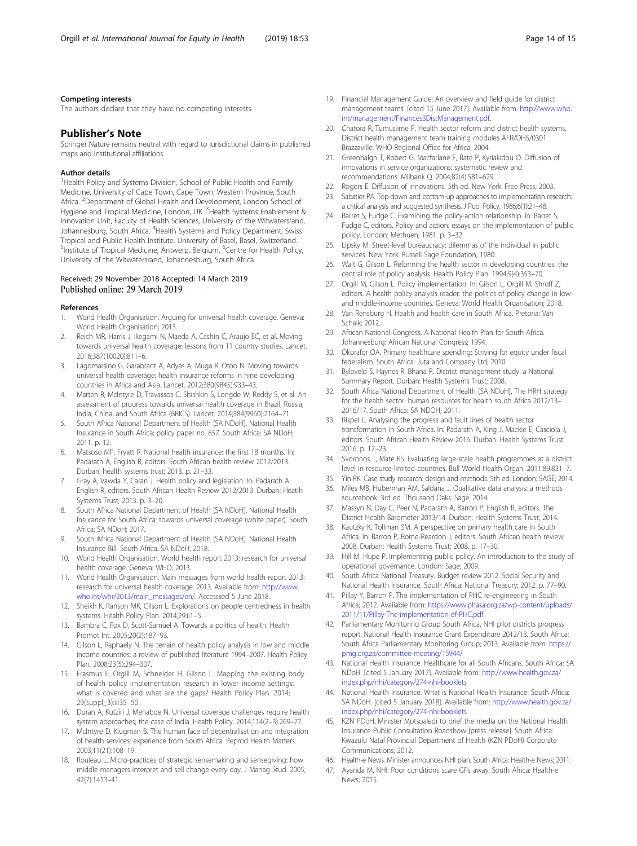#### <span id="page-13-0"></span>Competing interests

The authors declare that they have no competing interests.

#### Publisher's Note

Springer Nature remains neutral with regard to jurisdictional claims in published maps and institutional affiliations.

#### Author details

<sup>1</sup> Health Policy and Systems Division, School of Public Health and Family Medicine, University of Cape Town, Cape Town, Western Province, South Africa. <sup>2</sup>Department of Global Health and Development, London School of Hygiene and Tropical Medicine, London, UK. <sup>3</sup>Health Systems Enablement & Innovation Unit, Faculty of Health Sciences, University of the Witwatersrand, Johannesburg, South Africa. <sup>4</sup>Health Systems and Policy Department, Swiss Tropical and Public Health Institute, University of Basel, Basel, Switzerland. <sup>5</sup>Institute of Tropical Medicine, Antwerp, Belgium. <sup>6</sup>Centre for Health Policy, University of the Witwatersrand, Johannesburg, South Africa.

#### Received: 29 November 2018 Accepted: 14 March 2019 Published online: 29 March 2019

#### References

- 1. World Health Organisation. Arguing for universal health coverage. Geneva: World Health Organisation; 2013.
- 2. Reich MR, Harris J, Ikegami N, Maeda A, Cashin C, Araujo EC, et al. Moving towards universal health coverage: lessons from 11 country studies. Lancet. 2016;387(10020):811–6.
- 3. Lagomarsino G, Garabrant A, Adyas A, Muga R, Otoo N. Moving towards universal health coverage: health insurance reforms in nine developing countries in Africa and Asia. Lancet. 2012;380(9845):933–43.
- Marten R, McIntyre D, Travassos C, Shishkin S, Longde W, Reddy S, et al. An assessment of progress towards universal health coverage in Brazil, Russia, India, China, and South Africa (BRICS). Lancet. 2014;384(9960):2164–71.
- 5. South Africa National Department of Health [SA NDoH]. National Health Insurance in South Africa: policy paper no. 657. South Africa: SA NDoH; 2011. p. 12.
- 6. Matsoso MP, Fryatt R. National health insurance: the first 18 months. In: Padarath A, English R, editors. South African health review 2012/2013. Durban: health systems trust; 2013. p. 21–33.
- 7. Gray A, Vawda Y, Caran J. Health policy and legislation. In: Padarath A, English R, editors. South African Health Review 2012/2013. Durban: Heatlh Systems Trust; 2013. p. 3–20.
- 8. South Africa National Department of Health [SA NDoH]. National Health Insurance for South Africa: towards universal coverage (white paper). South Africa: SA NDoH; 2017.
- 9. South Africa National Department of Health [SA NDoH]. National Health Insurance Bill. South Africa: SA NDoH; 2018.
- 10. World Health Organisation. World health report 2013: research for universal health coverage. Geneva: WHO; 2013.
- 11. World Health Organisation. Main messages from world health report 2013: research for universal health coverage. 2013. Available from: [http://www.](http://www.who.int/whr/2013/main_messages/en/) [who.int/whr/2013/main\\_messages/en/](http://www.who.int/whr/2013/main_messages/en/). Accesssed 5 June 2018.
- 12. Sheikh K, Ranson MK, Gilson L. Explorations on people centredness in health systems. Health Policy Plan. 2014;29:ii1–5.
- 13. Bambra C, Fox D, Scott-Samuel A. Towards a politics of health. Health Promot Int. 2005;20(2):187–93.
- 14. Gilson L, Raphaely N. The terrain of health policy analysis in low and middle income countries: a review of published literature 1994–2007. Health Policy Plan. 2008;23(5):294–307.
- 15. Erasmus E, Orgill M, Schneider H, Gilson L. Mapping the existing body of health policy implementation research in lower income settings: what is covered and what are the gaps? Health Policy Plan. 2014; 29(suppl\_3):iii35–50.
- 16. Duran A, Kutzin J, Menabde N. Universal coverage challenges require health system approaches; the case of India. Health Policy. 2014;114(2–3):269–77.
- 17. McIntyre D, Klugman B. The human face of decentralisation and integration of health services: experience from South Africa. Reprod Health Matters. 2003;11(21):108–19.
- 18. Rouleau L. Micro-practices of strategic sensemaking and sensegiving: how middle managers interpret and sell change every day. J Manag Stud. 2005; 42(7):1413–41.
- 19. Financial Management Guide: An overview and field guide for district management teams. [cited 15 June 2017]. Available from: [http://www.who.](http://www.who.int/management/Finances3DistManagement.pdf) [int/management/Finances3DistManagement.pdf](http://www.who.int/management/Finances3DistManagement.pdf).
- 20. Chatora R, Tumusiime P. Health sector reform and district health systems. District health management team training modules AFR/DHS/0301. Brazzaville: WHO Regional Office for Africa; 2004.
- 21. Greenhalgh T, Robert G, Macfarlane F, Bate P, Kyriakidou O. Diffusion of innovations in service organizations: systematic review and recommendations. Milbank Q. 2004;82(4):581–629.
- 22. Rogers E. Diffusion of innovations. 5th ed. New York: Free Press; 2003.<br>23. Sabatier PA. Top-down and bottom-up approaches to implementation res
- Sabatier PA. Top-down and bottom-up approaches to implementation research: a critical analysis and suggested synthesis. J Publ Policy. 1986;6(1):21–48.
- 24. Barret S, Fudge C. Examining the policy-action relationship. In: Barret S, Fudge C, editors. Policy and action: essays on the implementation of public policy. London: Methuen; 1981. p. 3–32.
- 25. Lipsky M. Street-level bureaucracy: dilemmas of the individual in public services. New York: Russell Sage Foundation; 1980.
- 26. Walt G, Gilson L. Reforming the health sector in developing countries: the central role of policy analysis. Health Policy Plan. 1994;9(4):353–70.
- 27. Orgill M, Gilson L. Policy implementation. In: Gilson L, Orgill M, Shroff Z, editors. A health policy analysis reader: the politics of policy change in lowand middle-income countries. Geneva: World Health Organisation; 2018.
- 28. Van Rensburg H. Health and health care in South Africa. Pretoria: Van Schaik; 2012.
- 29. African National Congress. A National Health Plan for South Africa. Johannesburg: African National Congress; 1994.
- 30. Okorafor OA. Primary healthcare spending: Striving for equity under fiscal federalism. South Africa: Juta and Company Ltd; 2010.
- 31. Byleveld S, Haynes R, Bhana R. District management study: a National Summary Report. Durban: Health Systems Trust; 2008.
- 32. South Africa National Department of Health [SA NDoH]. The HRH strategy for the health sector: human resources for health south Africa 2012/13– 2016/17. South Africa: SA NDOH; 2011.
- 33. Rispel L. Analysing the progress and fault lines of health sector transformation in South Africa. In: Padarath A, King J, Mackie E, Casciola J, editors. South African Health Review 2016. Durban: Health Systems Trust 2016. p. 17–23.
- 34. Svoronos T, Mate KS. Evaluating large-scale health programmes at a district level in resource-limited countries. Bull World Health Organ. 2011;89:831–7.
- 35. Yin RK. Case study research: design and methods. 5th ed. London: SAGE; 2014.
- 36. Miles MB, Huberman AM, Saldana J. Qualitative data analysis: a methods sourcebook. 3rd ed. Thousand Oaks: Sage; 2014.
- 37. Massyn N, Day C, Peer N, Padarath A, Barron P, English R, editors. The District Health Barometer 2013/14. Durban: Health Systems Trust; 2014.
- 38. Kautzky K, Tollman SM. A perspective on primary health care in South Africa. In: Barron P, Rome-Reardon J, editors. South African health review 2008. Durban: Health Systems Trust; 2008. p. 17–30.
- 39. Hill M, Hupe P. Implementing public policy. An introduction to the study of operational governance. London: Sage; 2009.
- 40. South Africa National Treasury. Budget review 2012. Social Security and National Health Insurance. South Africa: National Treasury; 2012. p. 77–90.
- 41. Pillay Y, Barron P. The implementation of PHC re-engineering in South Africa; 2012. Available from: [https://www.phasa.org.za/wp-content/uploads/](https://www.phasa.org.za/wp-content/uploads/2011/11/Pillay-The-implementation-of-PHC.pdf) [2011/11/Pillay-The-implementation-of-PHC.pdf](https://www.phasa.org.za/wp-content/uploads/2011/11/Pillay-The-implementation-of-PHC.pdf).
- 42. Parliamentary Monitoring Group South Africa. NHI pilot districts progress report: National Health Insurance Grant Expenditure 2012/13. South Africa: South Africa Parliamentary Monitoring Group; 2013. Available from: [https://](https://pmg.org.za/committee-meeting/15944/) [pmg.org.za/committee-meeting/15944/](https://pmg.org.za/committee-meeting/15944/)
- 43. National Health Insurance. Healthcare for all South Africans. South Africa: SA NDoH. [cited 5 January 2017]. Available from: [http://www.health.gov.za/](http://www.health.gov.za/index.php/nhi/category/274-nhi-booklets) [index.php/nhi/category/274-nhi-booklets](http://www.health.gov.za/index.php/nhi/category/274-nhi-booklets)
- 44. National Health Insurance. What is National Health Insurance: South Africa: SA NDoH. [cited 5 January 2018]. Available from: [http://www.health.gov.za/](http://www.health.gov.za/index.php/nhi/category/274-nhi-booklets) [index.php/nhi/category/274-nhi-booklets](http://www.health.gov.za/index.php/nhi/category/274-nhi-booklets)
- 45. KZN PDoH. Minister Motsoaledi to brief the media on the National Health Insurance Public Consultation Roadshow [press release]. South Africa: Kwazulu Natal Provincial Department of Health (KZN PDoH) Corporate Communications; 2012.
- 46. Health-e News. Minister announces NHI plan. South Africa: Health-e News; 2011.
- 47. Ayanda M. NHI: Poor conditions scare GPs away. South Africa: Health-e News; 2015.